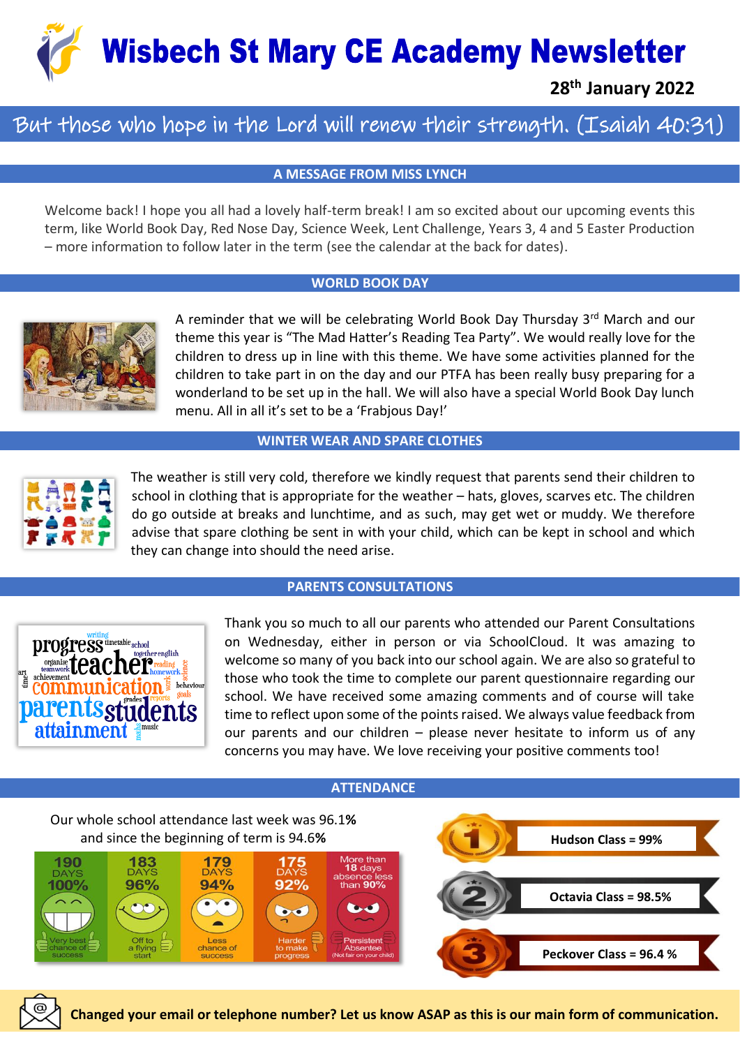**Wisbech St Mary CE Academy Newsletter** 

**28th January 2022**

## But those who hope in the Lord will renew their strength. (Isaiah 40:31)

**A MESSAGE FROM MISS LYNCH**

Welcome back! I hope you all had a lovely half-term break! I am so excited about our upcoming events this term, like World Book Day, Red Nose Day, Science Week, Lent Challenge, Years 3, 4 and 5 Easter Production – more information to follow later in the term (see the calendar at the back for dates).

#### **WORLD BOOK DAY**



A reminder that we will be celebrating World Book Day Thursday 3<sup>rd</sup> March and our theme this year is "The Mad Hatter's Reading Tea Party". We would really love for the children to dress up in line with this theme. We have some activities planned for the children to take part in on the day and our PTFA has been really busy preparing for a wonderland to be set up in the hall. We will also have a special World Book Day lunch menu. All in all it's set to be a 'Frabjous Day!'

#### **WINTER WEAR AND SPARE CLOTHES**



The weather is still very cold, therefore we kindly request that parents send their children to school in clothing that is appropriate for the weather – hats, gloves, scarves etc. The children do go outside at breaks and lunchtime, and as such, may get wet or muddy. We therefore advise that spare clothing be sent in with your child, which can be kept in school and which they can change into should the need arise.

#### **PARENTS CONSULTATIONS**



Thank you so much to all our parents who attended our Parent Consultations on Wednesday, either in person or via SchoolCloud. It was amazing to welcome so many of you back into our school again. We are also so grateful to those who took the time to complete our parent questionnaire regarding our school. We have received some amazing comments and of course will take time to reflect upon some of the points raised. We always value feedback from our parents and our children – please never hesitate to inform us of any concerns you may have. We love receiving your positive comments too!

#### **ATTENDANCE**



**Changed your email or telephone number? Let us know ASAP as this is our main form of communication.**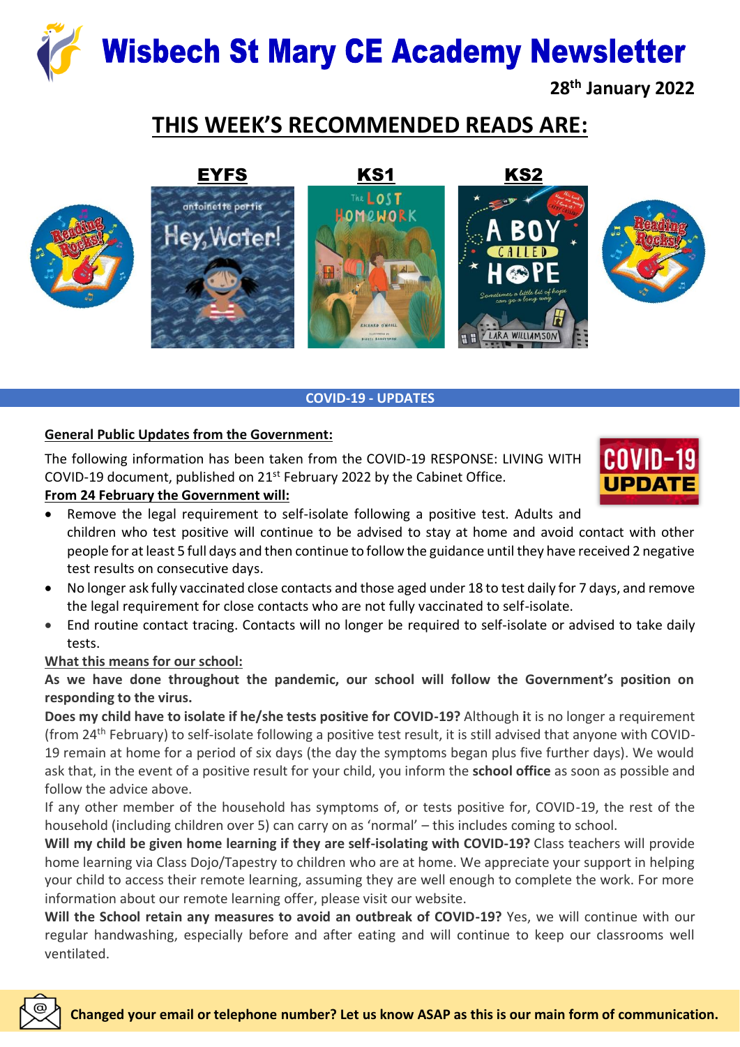# **Wisbech St Mary CE Academy Newsletter**

**28th January 2022**

# **THIS WEEK'S RECOMMENDED READS ARE:**



## **COVID-19 - UPDATES**

## **General Public Updates from the Government:**

The following information has been taken from the COVID-19 RESPONSE: LIVING WITH COVID-19 document, published on 21st February 2022 by the Cabinet Office.

## **From 24 February the Government will:**



- Remove the legal requirement to self-isolate following a positive test. Adults and children who test positive will continue to be advised to stay at home and avoid contact with other people for at least 5 full days and then continue to follow the guidance until they have received 2 negative test results on consecutive days.
- No longer ask fully vaccinated close contacts and those aged under 18 to test daily for 7 days, and remove the legal requirement for close contacts who are not fully vaccinated to self-isolate.
- End routine contact tracing. Contacts will no longer be required to self-isolate or advised to take daily tests.

### **What this means for our school:**

**As we have done throughout the pandemic, our school will follow the Government's position on responding to the virus.** 

**Does my child have to isolate if he/she tests positive for COVID-19?** Although **i**t is no longer a requirement (from 24th February) to self-isolate following a positive test result, it is still advised that anyone with COVID-19 remain at home for a period of six days (the day the symptoms began plus five further days). We would ask that, in the event of a positive result for your child, you inform the **school office** as soon as possible and follow the advice above.

If any other member of the household has symptoms of, or tests positive for, COVID-19, the rest of the household (including children over 5) can carry on as 'normal' – this includes coming to school.

**Will my child be given home learning if they are self-isolating with COVID-19?** Class teachers will provide home learning via Class Dojo/Tapestry to children who are at home. We appreciate your support in helping your child to access their remote learning, assuming they are well enough to complete the work. For more information about our remote learning offer, please visit our website.

**Will the School retain any measures to avoid an outbreak of COVID-19?** Yes, we will continue with our regular handwashing, especially before and after eating and will continue to keep our classrooms well ventilated.